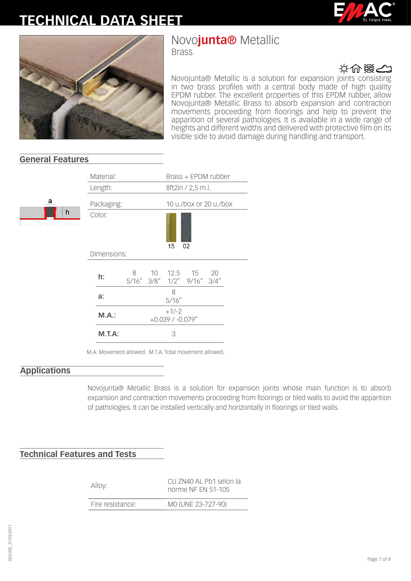# **TECHNICAL DATA SHEET**





# Novo**junta®** Metallic

Brass



Novojunta® Metallic is a solution for expansion joints consisting in two brass profiles with a central body made of high quality EPDM rubber. The excellent properties of this EPDM rubber, allow Novojunta® Metallic Brass to absorb expansion and contraction movements proceeding from floorings and help to prevent the apparition of several pathologies. It is available in a wide range of heights and different widths and delivered with protective film on its visible side to avoid damage during handling and transport.

### **General Features**

|   | ividlelidi. |                               |  | DI 422 + EL DIMITADDEI |                            |    |  |
|---|-------------|-------------------------------|--|------------------------|----------------------------|----|--|
|   | Length:     |                               |  |                        | 8ft2in / 2,5 m.l.          |    |  |
|   | Packaging:  |                               |  | 10 u./box or 20 u./box |                            |    |  |
| h | Color:      |                               |  | 15                     | 02                         |    |  |
|   | Dimensions: |                               |  |                        |                            |    |  |
|   | h:          | 8                             |  |                        | 5/16" 3/8" 1/2" 9/16" 3/4" | 20 |  |
|   | a:          |                               |  | 8<br>5/16''            |                            |    |  |
|   | M.A.:       | $+1/-2$<br>$+0.039/ -0.079''$ |  |                        |                            |    |  |
|   | $M.T.A$ :   | 3                             |  |                        |                            |    |  |
|   |             |                               |  |                        |                            |    |  |

Material: Brass + EPDM rubber

M.A: Movement allowed. M.T.A: Total movement allowed.

#### **Applications**

Novojunta® Metallic Brass is a solution for expansion joints whose main function is to absorb expansion and contraction movements proceeding from floorings or tiled walls to avoid the apparition of pathologies. It can be installed vertically and horizontally in floorings or tiled walls.

### **Technical Features and Tests**

Alloy: CU ZN40 AL Pb1 selon la norme NF EN 51-105

Fire resistance: M0 (UNE 23-727-90)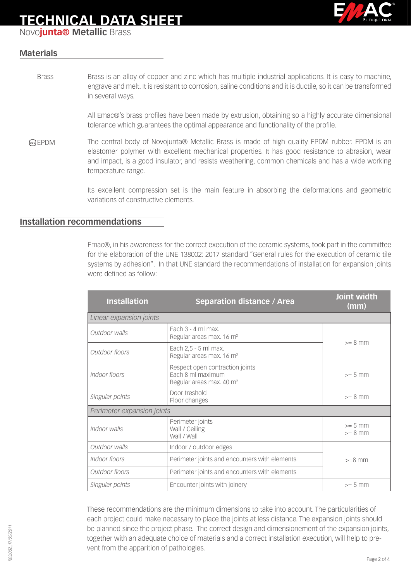# **TECHNICAL DATA SHEET**



Novo**junta® Metallic** Brass

#### **Materials**

Brass is an alloy of copper and zinc which has multiple industrial applications. It is easy to machine, engrave and melt. It is resistant to corrosion, saline conditions and it is ductile, so it can be transformed in several ways. Brass

> All Emac®'s brass profiles have been made by extrusion, obtaining so a highly accurate dimensional tolerance which guarantees the optimal appearance and functionality of the profile.

EPDM The central body of Novojunta® Metallic Brass is made of high quality EPDM rubber. EPDM is an elastomer polymer with excellent mechanical properties. It has good resistance to abrasion, wear and impact, is a good insulator, and resists weathering, common chemicals and has a wide working temperature range.

> Its excellent compression set is the main feature in absorbing the deformations and geometric variations of constructive elements.

#### **Installation recommendations**

Emac®, in his awareness for the correct execution of the ceramic systems, took part in the committee for the elaboration of the UNE 138002: 2017 standard "General rules for the execution of ceramic tile systems by adhesion". In that UNE standard the recommendations of installation for expansion joints were defined as follow:

| <b>Installation</b>                                                           | <b>Separation distance / Area</b>                                                            | Joint width<br>(mm)    |  |  |  |  |
|-------------------------------------------------------------------------------|----------------------------------------------------------------------------------------------|------------------------|--|--|--|--|
| Linear expansion joints                                                       |                                                                                              |                        |  |  |  |  |
| Fach $3 - 4$ ml max.<br>Outdoor walls<br>Regular areas max. 16 m <sup>2</sup> |                                                                                              | $>= 8$ mm              |  |  |  |  |
| Outdoor floors                                                                | Each 2,5 - 5 ml max.<br>Regular areas max. 16 m <sup>2</sup>                                 |                        |  |  |  |  |
| Indoor floors                                                                 | Respect open contraction joints<br>Each 8 ml maximum<br>Regular areas max. 40 m <sup>2</sup> | $>= 5$ mm              |  |  |  |  |
| Singular points                                                               | Door treshold<br>Floor changes                                                               | $>= 8$ mm              |  |  |  |  |
| Perimeter expansion joints                                                    |                                                                                              |                        |  |  |  |  |
| Perimeter joints<br>Indoor walls<br>Wall / Ceiling<br>Wall / Wall             |                                                                                              | $>= 5$ mm<br>$>= 8$ mm |  |  |  |  |
| Outdoor walls                                                                 | Indoor / outdoor edges                                                                       |                        |  |  |  |  |
| Perimeter joints and encounters with elements<br>Indoor floors                |                                                                                              | $>=8$ mm               |  |  |  |  |
| Outdoor floors                                                                | Perimeter joints and encounters with elements                                                |                        |  |  |  |  |
| Singular points                                                               | Encounter joints with joinery                                                                | $>= 5$ mm              |  |  |  |  |

These recommendations are the minimum dimensions to take into account. The particularities of each project could make necessary to place the joints at less distance. The expansion joints should be planned since the project phase. The correct design and dimensionement of the expansion joints, together with an adequate choice of materials and a correct installation execution, will help to prevent from the apparition of pathologies.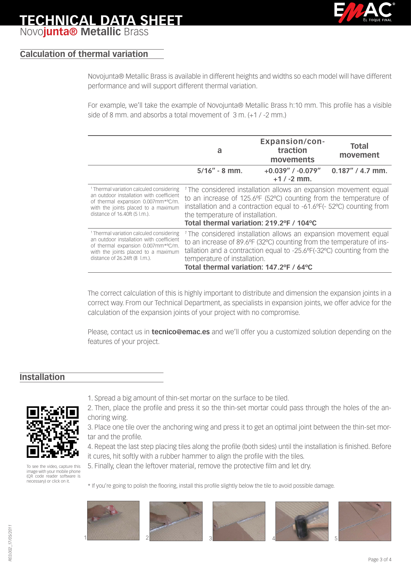### **TECHNICAL DATA SHEET** Novo**junta® Metallic** Brass

#### **Calculation of thermal variation**

Novojunta® Metallic Brass is available in different heights and widths so each model will have different performance and will support different thermal variation.

For example, we'll take the example of Novojunta® Metallic Brass h:10 mm. This profile has a visible side of 8 mm. and absorbs a total movement of 3 m. (+1 / -2 mm.)

|                                                     | a                                                                           | <b>Expansion/con-</b><br>traction<br>movements | <b>Total</b><br>movement |  |  |  |
|-----------------------------------------------------|-----------------------------------------------------------------------------|------------------------------------------------|--------------------------|--|--|--|
|                                                     | $5/16'' - 8$ mm.                                                            | $+0.039''$ / $-0.079''$<br>$+1/ -2$ mm.        | $0.187''$ / 4.7 mm.      |  |  |  |
| <sup>1</sup> Thermal variation calculed considering | <sup>1</sup> The considered installation allows an expansion movement equal |                                                |                          |  |  |  |
| an outdoor installation with coefficient            | to an increase of 125.6°F (52°C) counting from the temperature of           |                                                |                          |  |  |  |
| of thermal expansion 0.007mm*°C/m.                  | installation and a contraction equal to -61.6°F(- 52°C) counting from       |                                                |                          |  |  |  |
| with the joints placed to a maximum                 | the temperature of installation.                                            |                                                |                          |  |  |  |
| distance of 16.40ft (5 l.m.).                       | Total thermal variation: 219.2°F / 104°C                                    |                                                |                          |  |  |  |
| <sup>1</sup> Thermal variation calculed considering | <sup>1</sup> The considered installation allows an expansion movement equal |                                                |                          |  |  |  |
| an outdoor installation with coefficient            | to an increase of 89.6°F (32°C) counting from the temperature of ins-       |                                                |                          |  |  |  |
| of thermal expansion 0.007mm*°C/m.                  | tallation and a contraction equal to -25.6°F(-32°C) counting from the       |                                                |                          |  |  |  |
| with the joints placed to a maximum                 | temperature of installation.                                                |                                                |                          |  |  |  |
| distance of 26.24ft (8 l.m.).                       | Total thermal variation: 147.2°F / 64°C                                     |                                                |                          |  |  |  |

The correct calculation of this is highly important to distribute and dimension the expansion joints in a correct way. From our Technical Department, as specialists in expansion joints, we offer advice for the calculation of the expansion joints of your project with no compromise.

Please, contact us in **tecnico@emac.es** and we'll offer you a customized solution depending on the features of your project.

#### **Installation**



[To see the video, capture this](http://www.youtube.com/watch?v=Y81EHfIP3E4)  image with your mobile phone (QR code reader software is necessary) or click on it.

- 1. Spread a big amount of thin-set mortar on the surface to be tiled.
- 2. Then, place the profile and press it so the thin-set mortar could pass through the holes of the anchoring wing.
- 3. Place one tile over the anchoring wing and press it to get an optimal joint between the thin-set mortar and the profile.
- 4. Repeat the last step placing tiles along the profile (both sides) until the installation is finished. Before it cures, hit softly with a rubber hammer to align the profile with the tiles.
- 5. Finally, clean the leftover material, remove the protective film and let dry.

\* If you're going to polish the flooring, install this profile slightly below the tile to avoid possible damage.